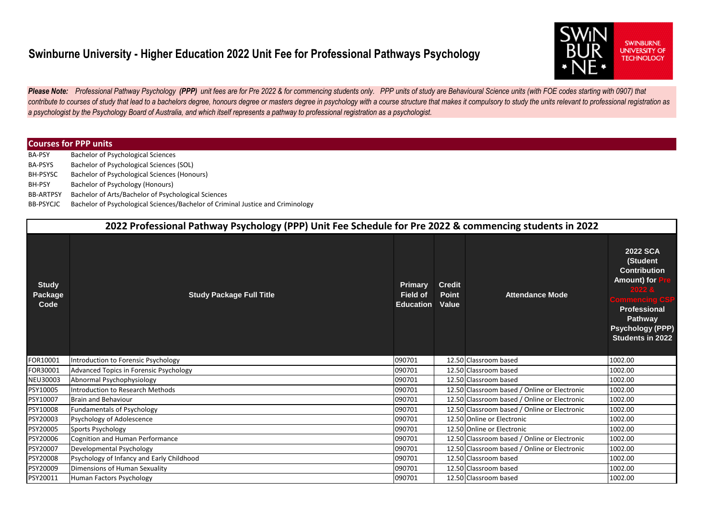## **Swinburne University - Higher Education 2022 Unit Fee for Professional Pathways Psychology**



Please Note: Professional Pathway Psychology (PPP) unit fees are for Pre 2022 & for commencing students only. PPP units of study are Behavioural Science units (with FOE codes starting with 0907) that contribute to courses of study that lead to a bachelors degree, honours degree or masters degree in psychology with a course structure that makes it compulsory to study the units relevant to professional registration as *a psychologist by the Psychology Board of Australia, and which itself represents a pathway to professional registration as a psychologist.*

## **Courses for PPP units**

BA-PSY BA-PSYS BH-PSYSC BH-PSY BB-ARTPSY Bachelor of Arts/Bachelor of Psychological Sciences BB-PSYCJC Bachelor of Psychological Sciences Bachelor of Psychological Sciences (SOL) Bachelor of Psychological Sciences (Honours) Bachelor of Psychology (Honours) Bachelor of Psychological Sciences/Bachelor of Criminal Justice and Criminology

| 2022 Professional Pathway Psychology (PPP) Unit Fee Schedule for Pre 2022 & commencing students in 2022 |                                           |                                                       |                                               |                                              |                                                                                                                                                                            |  |  |  |
|---------------------------------------------------------------------------------------------------------|-------------------------------------------|-------------------------------------------------------|-----------------------------------------------|----------------------------------------------|----------------------------------------------------------------------------------------------------------------------------------------------------------------------------|--|--|--|
| <b>Study</b><br>Package<br>Code                                                                         | <b>Study Package Full Title</b>           | <b>Primary</b><br><b>Field of</b><br><b>Education</b> | <b>Credit</b><br><b>Point</b><br><b>Value</b> | <b>Attendance Mode</b>                       | <b>2022 SCA</b><br>(Student<br><b>Contribution</b><br>Amount) for<br>2022 &<br><b>Professional</b><br><b>Pathway</b><br><b>Psychology (PPP)</b><br><b>Students in 2022</b> |  |  |  |
| FOR10001                                                                                                | Introduction to Forensic Psychology       | 090701                                                |                                               | 12.50 Classroom based                        | 1002.00                                                                                                                                                                    |  |  |  |
| FOR30001                                                                                                | Advanced Topics in Forensic Psychology    | 090701                                                |                                               | 12.50 Classroom based                        | 1002.00                                                                                                                                                                    |  |  |  |
| NEU30003                                                                                                | Abnormal Psychophysiology                 | 090701                                                |                                               | 12.50 Classroom based                        | 1002.00                                                                                                                                                                    |  |  |  |
| PSY10005                                                                                                | Introduction to Research Methods          | 090701                                                |                                               | 12.50 Classroom based / Online or Electronic | 1002.00                                                                                                                                                                    |  |  |  |
| PSY10007                                                                                                | <b>Brain and Behaviour</b>                | 090701                                                |                                               | 12.50 Classroom based / Online or Electronic | 1002.00                                                                                                                                                                    |  |  |  |
| PSY10008                                                                                                | <b>Fundamentals of Psychology</b>         | 090701                                                |                                               | 12.50 Classroom based / Online or Electronic | 1002.00                                                                                                                                                                    |  |  |  |
| PSY20003                                                                                                | Psychology of Adolescence                 | 090701                                                |                                               | 12.50 Online or Electronic                   | 1002.00                                                                                                                                                                    |  |  |  |
| PSY20005                                                                                                | <b>Sports Psychology</b>                  | 090701                                                |                                               | 12.50 Online or Electronic                   | 1002.00                                                                                                                                                                    |  |  |  |
| PSY20006                                                                                                | <b>Cognition and Human Performance</b>    | 090701                                                |                                               | 12.50 Classroom based / Online or Electronic | 1002.00                                                                                                                                                                    |  |  |  |
| PSY20007                                                                                                | Developmental Psychology                  | 090701                                                |                                               | 12.50 Classroom based / Online or Electronic | 1002.00                                                                                                                                                                    |  |  |  |
| PSY20008                                                                                                | Psychology of Infancy and Early Childhood | 090701                                                |                                               | 12.50 Classroom based                        | 1002.00                                                                                                                                                                    |  |  |  |
| PSY20009                                                                                                | Dimensions of Human Sexuality             | 090701                                                |                                               | 12.50 Classroom based                        | 1002.00                                                                                                                                                                    |  |  |  |
| PSY20011                                                                                                | Human Factors Psychology                  | 090701                                                |                                               | 12.50 Classroom based                        | 1002.00                                                                                                                                                                    |  |  |  |